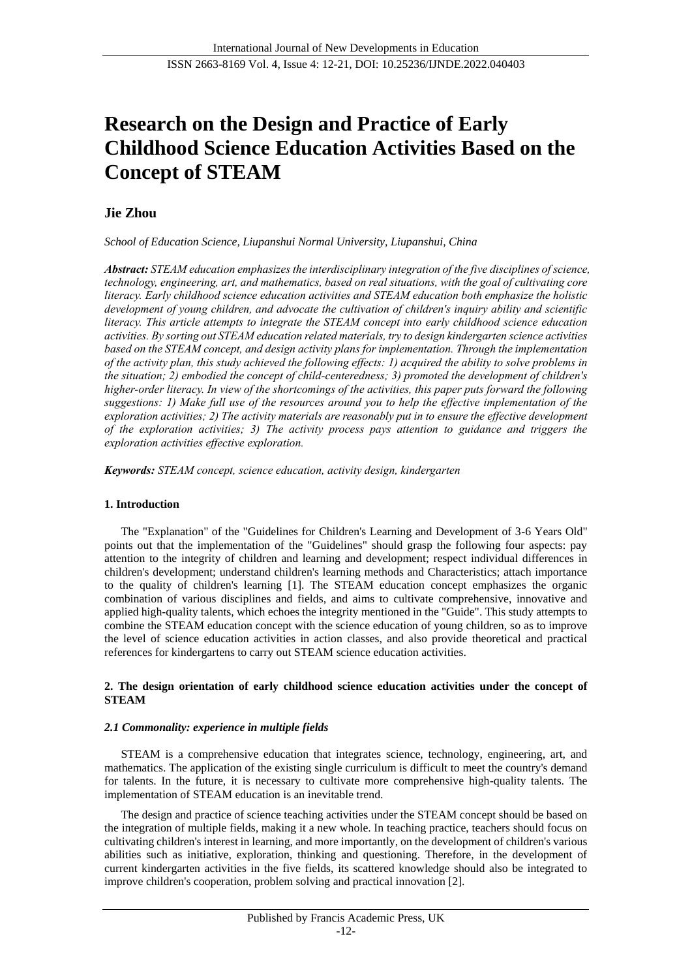# **Research on the Design and Practice of Early Childhood Science Education Activities Based on the Concept of STEAM**

# **Jie Zhou**

*School of Education Science, Liupanshui Normal University, Liupanshui, China*

*Abstract: STEAM education emphasizes the interdisciplinary integration of the five disciplines of science, technology, engineering, art, and mathematics, based on real situations, with the goal of cultivating core literacy. Early childhood science education activities and STEAM education both emphasize the holistic development of young children, and advocate the cultivation of children's inquiry ability and scientific literacy. This article attempts to integrate the STEAM concept into early childhood science education activities. By sorting out STEAM education related materials, try to design kindergarten science activities based on the STEAM concept, and design activity plans for implementation. Through the implementation of the activity plan, this study achieved the following effects: 1) acquired the ability to solve problems in the situation; 2) embodied the concept of child-centeredness; 3) promoted the development of children's higher-order literacy. In view of the shortcomings of the activities, this paper puts forward the following suggestions: 1) Make full use of the resources around you to help the effective implementation of the exploration activities; 2) The activity materials are reasonably put in to ensure the effective development of the exploration activities; 3) The activity process pays attention to guidance and triggers the exploration activities effective exploration.*

*Keywords: STEAM concept, science education, activity design, kindergarten*

## **1. Introduction**

The "Explanation" of the "Guidelines for Children's Learning and Development of 3-6 Years Old" points out that the implementation of the "Guidelines" should grasp the following four aspects: pay attention to the integrity of children and learning and development; respect individual differences in children's development; understand children's learning methods and Characteristics; attach importance to the quality of children's learning [1]. The STEAM education concept emphasizes the organic combination of various disciplines and fields, and aims to cultivate comprehensive, innovative and applied high-quality talents, which echoes the integrity mentioned in the "Guide". This study attempts to combine the STEAM education concept with the science education of young children, so as to improve the level of science education activities in action classes, and also provide theoretical and practical references for kindergartens to carry out STEAM science education activities.

## **2. The design orientation of early childhood science education activities under the concept of STEAM**

## *2.1 Commonality: experience in multiple fields*

STEAM is a comprehensive education that integrates science, technology, engineering, art, and mathematics. The application of the existing single curriculum is difficult to meet the country's demand for talents. In the future, it is necessary to cultivate more comprehensive high-quality talents. The implementation of STEAM education is an inevitable trend.

The design and practice of science teaching activities under the STEAM concept should be based on the integration of multiple fields, making it a new whole. In teaching practice, teachers should focus on cultivating children's interest in learning, and more importantly, on the development of children's various abilities such as initiative, exploration, thinking and questioning. Therefore, in the development of current kindergarten activities in the five fields, its scattered knowledge should also be integrated to improve children's cooperation, problem solving and practical innovation [2].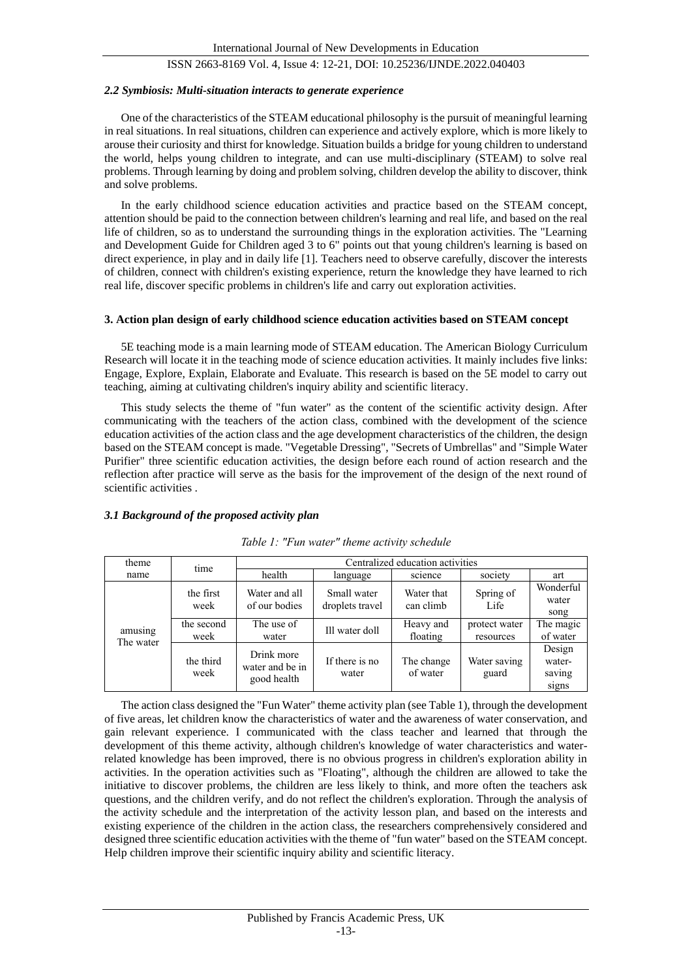#### *2.2 Symbiosis: Multi-situation interacts to generate experience*

One of the characteristics of the STEAM educational philosophy is the pursuit of meaningful learning in real situations. In real situations, children can experience and actively explore, which is more likely to arouse their curiosity and thirst for knowledge. Situation builds a bridge for young children to understand the world, helps young children to integrate, and can use multi-disciplinary (STEAM) to solve real problems. Through learning by doing and problem solving, children develop the ability to discover, think and solve problems.

In the early childhood science education activities and practice based on the STEAM concept, attention should be paid to the connection between children's learning and real life, and based on the real life of children, so as to understand the surrounding things in the exploration activities. The "Learning and Development Guide for Children aged 3 to 6" points out that young children's learning is based on direct experience, in play and in daily life [1]. Teachers need to observe carefully, discover the interests of children, connect with children's existing experience, return the knowledge they have learned to rich real life, discover specific problems in children's life and carry out exploration activities.

#### **3. Action plan design of early childhood science education activities based on STEAM concept**

5E teaching mode is a main learning mode of STEAM education. The American Biology Curriculum Research will locate it in the teaching mode of science education activities. It mainly includes five links: Engage, Explore, Explain, Elaborate and Evaluate. This research is based on the 5E model to carry out teaching, aiming at cultivating children's inquiry ability and scientific literacy.

This study selects the theme of "fun water" as the content of the scientific activity design. After communicating with the teachers of the action class, combined with the development of the science education activities of the action class and the age development characteristics of the children, the design based on the STEAM concept is made. "Vegetable Dressing", "Secrets of Umbrellas" and "Simple Water Purifier" three scientific education activities, the design before each round of action research and the reflection after practice will serve as the basis for the improvement of the design of the next round of scientific activities .

## *3.1 Background of the proposed activity plan*

| theme                | time               | Centralized education activities             |                                |                         |                            |                                     |
|----------------------|--------------------|----------------------------------------------|--------------------------------|-------------------------|----------------------------|-------------------------------------|
| name                 |                    | health                                       | language                       | science                 | society                    | art                                 |
| amusing<br>The water | the first<br>week  | Water and all<br>of our bodies               | Small water<br>droplets travel | Water that<br>can climb | Spring of<br>Life          | Wonderful<br>water<br>song          |
|                      | the second<br>week | The use of<br>water                          | Ill water doll                 | Heavy and<br>floating   | protect water<br>resources | The magic<br>of water               |
|                      | the third<br>week  | Drink more<br>water and be in<br>good health | If there is no<br>water        | The change<br>of water  | Water saving<br>guard      | Design<br>water-<br>saving<br>signs |

#### *Table 1: "Fun water" theme activity schedule*

The action class designed the "Fun Water" theme activity plan (see Table 1), through the development of five areas, let children know the characteristics of water and the awareness of water conservation, and gain relevant experience. I communicated with the class teacher and learned that through the development of this theme activity, although children's knowledge of water characteristics and waterrelated knowledge has been improved, there is no obvious progress in children's exploration ability in activities. In the operation activities such as "Floating", although the children are allowed to take the initiative to discover problems, the children are less likely to think, and more often the teachers ask questions, and the children verify, and do not reflect the children's exploration. Through the analysis of the activity schedule and the interpretation of the activity lesson plan, and based on the interests and existing experience of the children in the action class, the researchers comprehensively considered and designed three scientific education activities with the theme of "fun water" based on the STEAM concept. Help children improve their scientific inquiry ability and scientific literacy.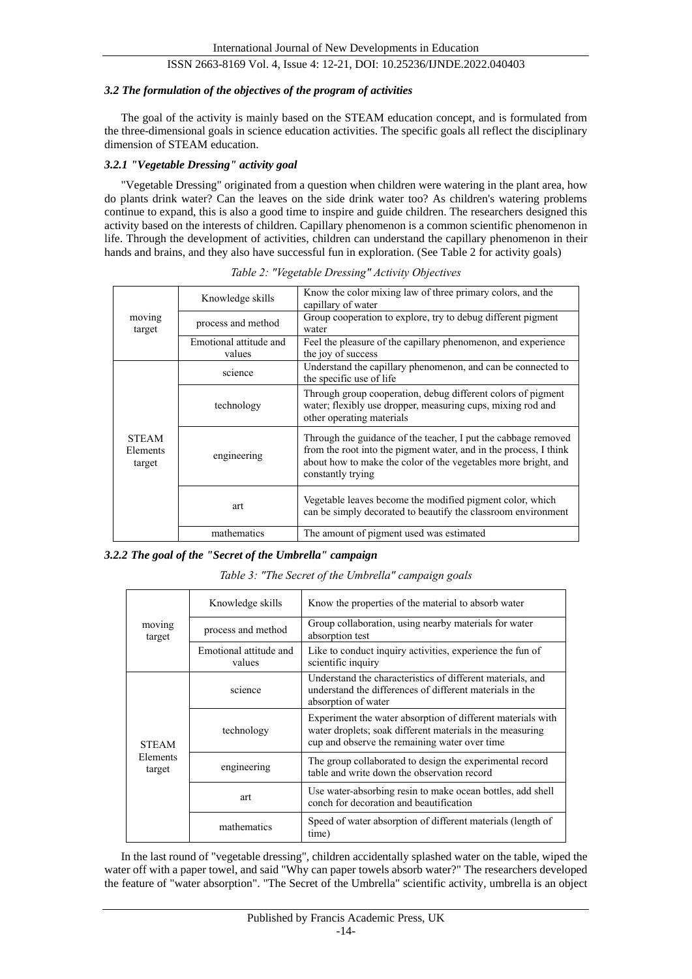#### *3.2 The formulation of the objectives of the program of activities*

The goal of the activity is mainly based on the STEAM education concept, and is formulated from the three-dimensional goals in science education activities. The specific goals all reflect the disciplinary dimension of STEAM education.

## *3.2.1 "Vegetable Dressing" activity goal*

"Vegetable Dressing" originated from a question when children were watering in the plant area, how do plants drink water? Can the leaves on the side drink water too? As children's watering problems continue to expand, this is also a good time to inspire and guide children. The researchers designed this activity based on the interests of children. Capillary phenomenon is a common scientific phenomenon in life. Through the development of activities, children can understand the capillary phenomenon in their hands and brains, and they also have successful fun in exploration. (See Table 2 for activity goals)

|                                    | Knowledge skills                 | Know the color mixing law of three primary colors, and the<br>capillary of water                                                                                                                                           |  |
|------------------------------------|----------------------------------|----------------------------------------------------------------------------------------------------------------------------------------------------------------------------------------------------------------------------|--|
| moving<br>target                   | process and method               | Group cooperation to explore, try to debug different pigment<br>water                                                                                                                                                      |  |
|                                    | Emotional attitude and<br>values | Feel the pleasure of the capillary phenomenon, and experience<br>the joy of success                                                                                                                                        |  |
|                                    | science                          | Understand the capillary phenomenon, and can be connected to<br>the specific use of life                                                                                                                                   |  |
| <b>STEAM</b><br>Elements<br>target | technology                       | Through group cooperation, debug different colors of pigment<br>water; flexibly use dropper, measuring cups, mixing rod and<br>other operating materials                                                                   |  |
|                                    | engineering                      | Through the guidance of the teacher, I put the cabbage removed<br>from the root into the pigment water, and in the process, I think<br>about how to make the color of the vegetables more bright, and<br>constantly trying |  |
|                                    | art                              | Vegetable leaves become the modified pigment color, which<br>can be simply decorated to beautify the classroom environment                                                                                                 |  |
|                                    | mathematics                      | The amount of pigment used was estimated                                                                                                                                                                                   |  |

*Table 2: "Vegetable Dressing" Activity Objectives*

## *3.2.2 The goal of the "Secret of the Umbrella" campaign*

*Table 3: "The Secret of the Umbrella" campaign goals*

|                                    | Knowledge skills                 | Know the properties of the material to absorb water                                                                                                                       |
|------------------------------------|----------------------------------|---------------------------------------------------------------------------------------------------------------------------------------------------------------------------|
| moving<br>target                   | process and method               | Group collaboration, using nearby materials for water<br>absorption test                                                                                                  |
|                                    | Emotional attitude and<br>values | Like to conduct inquiry activities, experience the fun of<br>scientific inquiry                                                                                           |
|                                    | science                          | Understand the characteristics of different materials, and<br>understand the differences of different materials in the<br>absorption of water                             |
| <b>STEAM</b><br>Elements<br>target | technology                       | Experiment the water absorption of different materials with<br>water droplets; soak different materials in the measuring<br>cup and observe the remaining water over time |
|                                    | engineering                      | The group collaborated to design the experimental record<br>table and write down the observation record                                                                   |
|                                    | art                              | Use water-absorbing resin to make ocean bottles, add shell<br>conch for decoration and beautification                                                                     |
|                                    | mathematics                      | Speed of water absorption of different materials (length of<br>time)                                                                                                      |

In the last round of "vegetable dressing", children accidentally splashed water on the table, wiped the water off with a paper towel, and said "Why can paper towels absorb water?" The researchers developed the feature of "water absorption". "The Secret of the Umbrella" scientific activity, umbrella is an object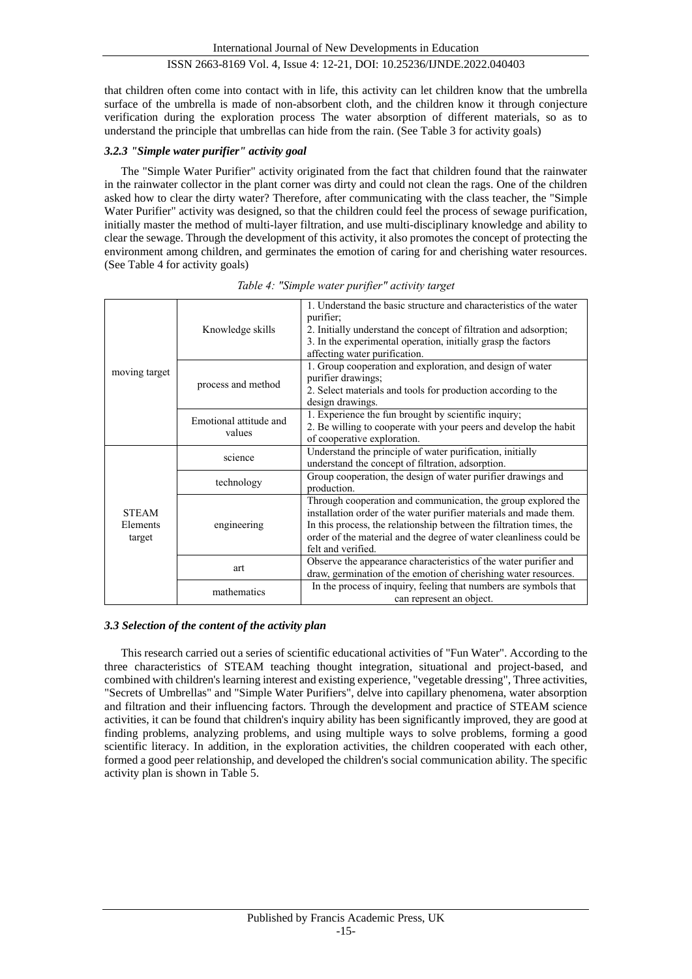that children often come into contact with in life, this activity can let children know that the umbrella surface of the umbrella is made of non-absorbent cloth, and the children know it through conjecture verification during the exploration process The water absorption of different materials, so as to understand the principle that umbrellas can hide from the rain. (See Table 3 for activity goals)

## *3.2.3 "Simple water purifier" activity goal*

The "Simple Water Purifier" activity originated from the fact that children found that the rainwater in the rainwater collector in the plant corner was dirty and could not clean the rags. One of the children asked how to clear the dirty water? Therefore, after communicating with the class teacher, the "Simple Water Purifier" activity was designed, so that the children could feel the process of sewage purification, initially master the method of multi-layer filtration, and use multi-disciplinary knowledge and ability to clear the sewage. Through the development of this activity, it also promotes the concept of protecting the environment among children, and germinates the emotion of caring for and cherishing water resources. (See Table 4 for activity goals)

| moving target                      | Knowledge skills                            | 1. Understand the basic structure and characteristics of the water<br>purifier;<br>2. Initially understand the concept of filtration and adsorption;<br>3. In the experimental operation, initially grasp the factors<br>affecting water purification.                                                |
|------------------------------------|---------------------------------------------|-------------------------------------------------------------------------------------------------------------------------------------------------------------------------------------------------------------------------------------------------------------------------------------------------------|
|                                    | process and method                          | 1. Group cooperation and exploration, and design of water<br>purifier drawings;<br>2. Select materials and tools for production according to the<br>design drawings.                                                                                                                                  |
|                                    | Emotional attitude and<br>values<br>science | 1. Experience the fun brought by scientific inquiry;<br>2. Be willing to cooperate with your peers and develop the habit<br>of cooperative exploration.                                                                                                                                               |
| <b>STEAM</b><br>Elements<br>target |                                             | Understand the principle of water purification, initially<br>understand the concept of filtration, adsorption.                                                                                                                                                                                        |
|                                    | technology                                  | Group cooperation, the design of water purifier drawings and<br>production.                                                                                                                                                                                                                           |
|                                    | engineering                                 | Through cooperation and communication, the group explored the<br>installation order of the water purifier materials and made them.<br>In this process, the relationship between the filtration times, the<br>order of the material and the degree of water cleanliness could be<br>felt and verified. |
|                                    | art                                         | Observe the appearance characteristics of the water purifier and<br>draw, germination of the emotion of cherishing water resources.                                                                                                                                                                   |
|                                    | mathematics                                 | In the process of inquiry, feeling that numbers are symbols that<br>can represent an object.                                                                                                                                                                                                          |

|  | Table 4: "Simple water purifier" activity target |  |  |  |
|--|--------------------------------------------------|--|--|--|
|--|--------------------------------------------------|--|--|--|

## *3.3 Selection of the content of the activity plan*

This research carried out a series of scientific educational activities of "Fun Water". According to the three characteristics of STEAM teaching thought integration, situational and project-based, and combined with children's learning interest and existing experience, "vegetable dressing", Three activities, "Secrets of Umbrellas" and "Simple Water Purifiers", delve into capillary phenomena, water absorption and filtration and their influencing factors. Through the development and practice of STEAM science activities, it can be found that children's inquiry ability has been significantly improved, they are good at finding problems, analyzing problems, and using multiple ways to solve problems, forming a good scientific literacy. In addition, in the exploration activities, the children cooperated with each other, formed a good peer relationship, and developed the children's social communication ability. The specific activity plan is shown in Table 5.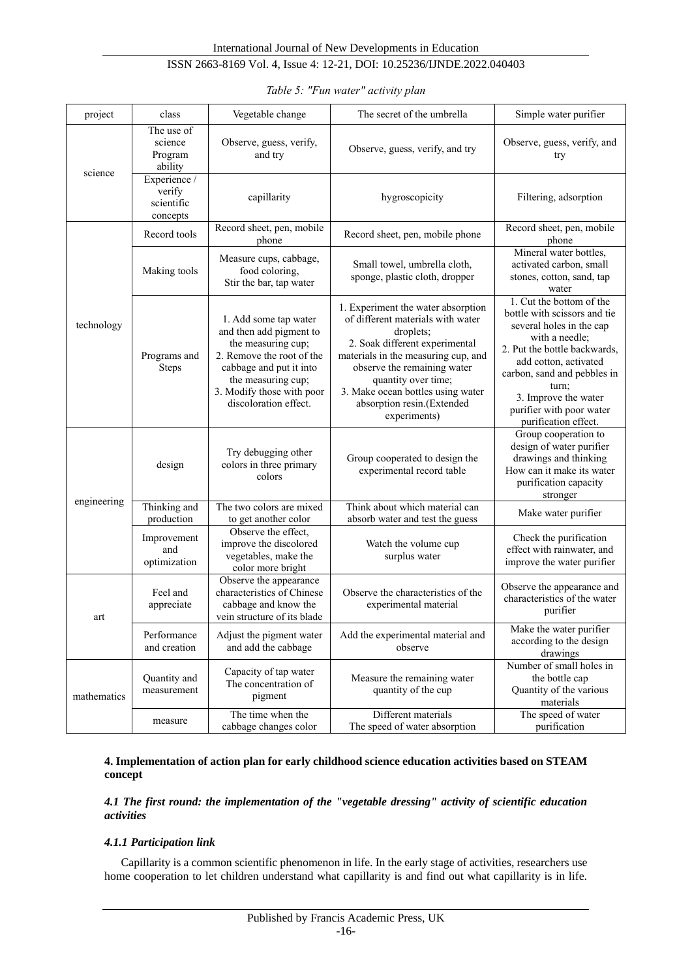| Table 5: "Fun water" activity plan |  |
|------------------------------------|--|
|------------------------------------|--|

| project                              | class                                            | Vegetable change                                                                                                                                                                                           | The secret of the umbrella                                                                                                                                                                                                                                                                             | Simple water purifier                                                                                                                                                                                                                                                               |
|--------------------------------------|--------------------------------------------------|------------------------------------------------------------------------------------------------------------------------------------------------------------------------------------------------------------|--------------------------------------------------------------------------------------------------------------------------------------------------------------------------------------------------------------------------------------------------------------------------------------------------------|-------------------------------------------------------------------------------------------------------------------------------------------------------------------------------------------------------------------------------------------------------------------------------------|
|                                      | The use of<br>science<br>Program<br>ability      | Observe, guess, verify,<br>and try                                                                                                                                                                         | Observe, guess, verify, and try                                                                                                                                                                                                                                                                        | Observe, guess, verify, and<br>try                                                                                                                                                                                                                                                  |
| science<br>technology<br>engineering | Experience /<br>verify<br>scientific<br>concepts | capillarity                                                                                                                                                                                                | hygroscopicity                                                                                                                                                                                                                                                                                         | Filtering, adsorption                                                                                                                                                                                                                                                               |
|                                      | Record tools                                     | Record sheet, pen, mobile<br>phone                                                                                                                                                                         | Record sheet, pen, mobile phone                                                                                                                                                                                                                                                                        | Record sheet, pen, mobile<br>phone                                                                                                                                                                                                                                                  |
|                                      | Making tools                                     | Measure cups, cabbage,<br>food coloring,<br>Stir the bar, tap water                                                                                                                                        | Small towel, umbrella cloth,<br>sponge, plastic cloth, dropper                                                                                                                                                                                                                                         | Mineral water bottles,<br>activated carbon, small<br>stones, cotton, sand, tap<br>water                                                                                                                                                                                             |
|                                      | Programs and<br><b>Steps</b>                     | 1. Add some tap water<br>and then add pigment to<br>the measuring cup;<br>2. Remove the root of the<br>cabbage and put it into<br>the measuring cup;<br>3. Modify those with poor<br>discoloration effect. | 1. Experiment the water absorption<br>of different materials with water<br>droplets:<br>2. Soak different experimental<br>materials in the measuring cup, and<br>observe the remaining water<br>quantity over time;<br>3. Make ocean bottles using water<br>absorption resin.(Extended<br>experiments) | 1. Cut the bottom of the<br>bottle with scissors and tie<br>several holes in the cap<br>with a needle;<br>2. Put the bottle backwards,<br>add cotton, activated<br>carbon, sand and pebbles in<br>turn;<br>3. Improve the water<br>purifier with poor water<br>purification effect. |
|                                      | design                                           | Try debugging other<br>colors in three primary<br>colors                                                                                                                                                   | Group cooperated to design the<br>experimental record table                                                                                                                                                                                                                                            | Group cooperation to<br>design of water purifier<br>drawings and thinking<br>How can it make its water<br>purification capacity<br>stronger                                                                                                                                         |
|                                      | Thinking and<br>production                       | The two colors are mixed<br>to get another color                                                                                                                                                           | Think about which material can<br>absorb water and test the guess                                                                                                                                                                                                                                      | Make water purifier                                                                                                                                                                                                                                                                 |
| art                                  | Improvement<br>and<br>optimization               | Observe the effect,<br>improve the discolored<br>vegetables, make the<br>color more bright                                                                                                                 | Watch the volume cup<br>surplus water                                                                                                                                                                                                                                                                  | Check the purification<br>effect with rainwater, and<br>improve the water purifier                                                                                                                                                                                                  |
|                                      | Feel and<br>appreciate                           | Observe the appearance<br>characteristics of Chinese<br>cabbage and know the<br>vein structure of its blade                                                                                                | Observe the characteristics of the<br>experimental material                                                                                                                                                                                                                                            | Observe the appearance and<br>characteristics of the water<br>purifier                                                                                                                                                                                                              |
|                                      | Performance<br>and creation                      | Adjust the pigment water<br>and add the cabbage                                                                                                                                                            | Add the experimental material and<br>observe                                                                                                                                                                                                                                                           | Make the water purifier<br>according to the design<br>drawings                                                                                                                                                                                                                      |
| mathematics                          | Quantity and<br>measurement                      | Capacity of tap water<br>The concentration of<br>pigment                                                                                                                                                   | Measure the remaining water<br>quantity of the cup                                                                                                                                                                                                                                                     | Number of small holes in<br>the bottle cap<br>Quantity of the various<br>materials                                                                                                                                                                                                  |
|                                      | measure                                          | The time when the<br>cabbage changes color                                                                                                                                                                 | Different materials<br>The speed of water absorption                                                                                                                                                                                                                                                   | The speed of water<br>purification                                                                                                                                                                                                                                                  |

## **4. Implementation of action plan for early childhood science education activities based on STEAM concept**

## *4.1 The first round: the implementation of the "vegetable dressing" activity of scientific education activities*

## *4.1.1 Participation link*

Capillarity is a common scientific phenomenon in life. In the early stage of activities, researchers use home cooperation to let children understand what capillarity is and find out what capillarity is in life.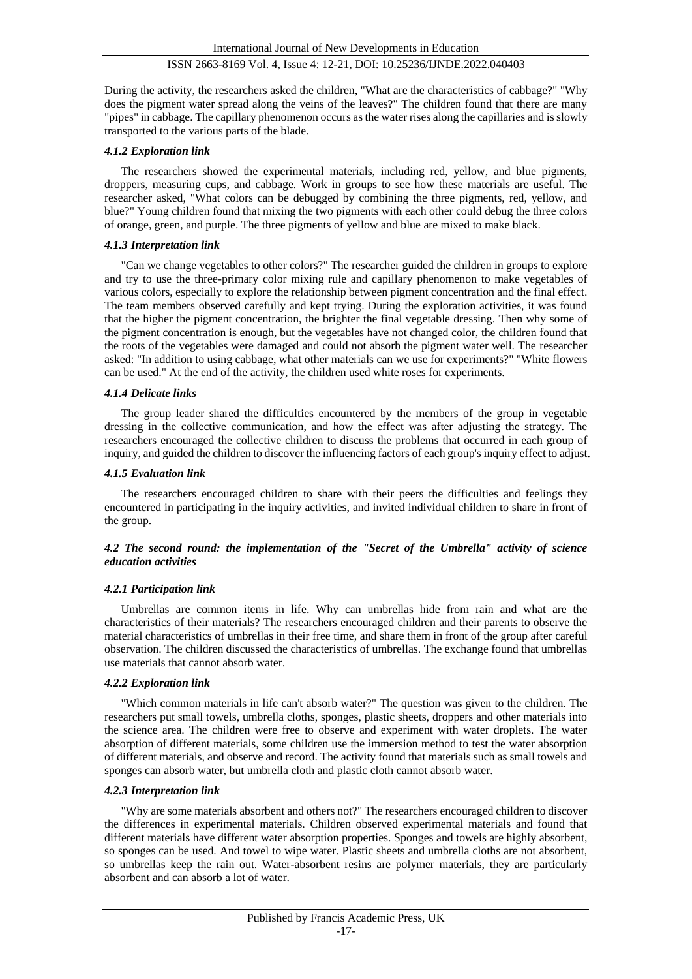During the activity, the researchers asked the children, "What are the characteristics of cabbage?" "Why does the pigment water spread along the veins of the leaves?" The children found that there are many "pipes" in cabbage. The capillary phenomenon occurs as the water rises along the capillaries and is slowly transported to the various parts of the blade.

#### *4.1.2 Exploration link*

The researchers showed the experimental materials, including red, yellow, and blue pigments, droppers, measuring cups, and cabbage. Work in groups to see how these materials are useful. The researcher asked, "What colors can be debugged by combining the three pigments, red, yellow, and blue?" Young children found that mixing the two pigments with each other could debug the three colors of orange, green, and purple. The three pigments of yellow and blue are mixed to make black.

#### *4.1.3 Interpretation link*

"Can we change vegetables to other colors?" The researcher guided the children in groups to explore and try to use the three-primary color mixing rule and capillary phenomenon to make vegetables of various colors, especially to explore the relationship between pigment concentration and the final effect. The team members observed carefully and kept trying. During the exploration activities, it was found that the higher the pigment concentration, the brighter the final vegetable dressing. Then why some of the pigment concentration is enough, but the vegetables have not changed color, the children found that the roots of the vegetables were damaged and could not absorb the pigment water well. The researcher asked: "In addition to using cabbage, what other materials can we use for experiments?" "White flowers can be used." At the end of the activity, the children used white roses for experiments.

#### *4.1.4 Delicate links*

The group leader shared the difficulties encountered by the members of the group in vegetable dressing in the collective communication, and how the effect was after adjusting the strategy. The researchers encouraged the collective children to discuss the problems that occurred in each group of inquiry, and guided the children to discover the influencing factors of each group's inquiry effect to adjust.

#### *4.1.5 Evaluation link*

The researchers encouraged children to share with their peers the difficulties and feelings they encountered in participating in the inquiry activities, and invited individual children to share in front of the group.

## *4.2 The second round: the implementation of the "Secret of the Umbrella" activity of science education activities*

## *4.2.1 Participation link*

Umbrellas are common items in life. Why can umbrellas hide from rain and what are the characteristics of their materials? The researchers encouraged children and their parents to observe the material characteristics of umbrellas in their free time, and share them in front of the group after careful observation. The children discussed the characteristics of umbrellas. The exchange found that umbrellas use materials that cannot absorb water.

## *4.2.2 Exploration link*

"Which common materials in life can't absorb water?" The question was given to the children. The researchers put small towels, umbrella cloths, sponges, plastic sheets, droppers and other materials into the science area. The children were free to observe and experiment with water droplets. The water absorption of different materials, some children use the immersion method to test the water absorption of different materials, and observe and record. The activity found that materials such as small towels and sponges can absorb water, but umbrella cloth and plastic cloth cannot absorb water.

## *4.2.3 Interpretation link*

"Why are some materials absorbent and others not?" The researchers encouraged children to discover the differences in experimental materials. Children observed experimental materials and found that different materials have different water absorption properties. Sponges and towels are highly absorbent, so sponges can be used. And towel to wipe water. Plastic sheets and umbrella cloths are not absorbent, so umbrellas keep the rain out. Water-absorbent resins are polymer materials, they are particularly absorbent and can absorb a lot of water.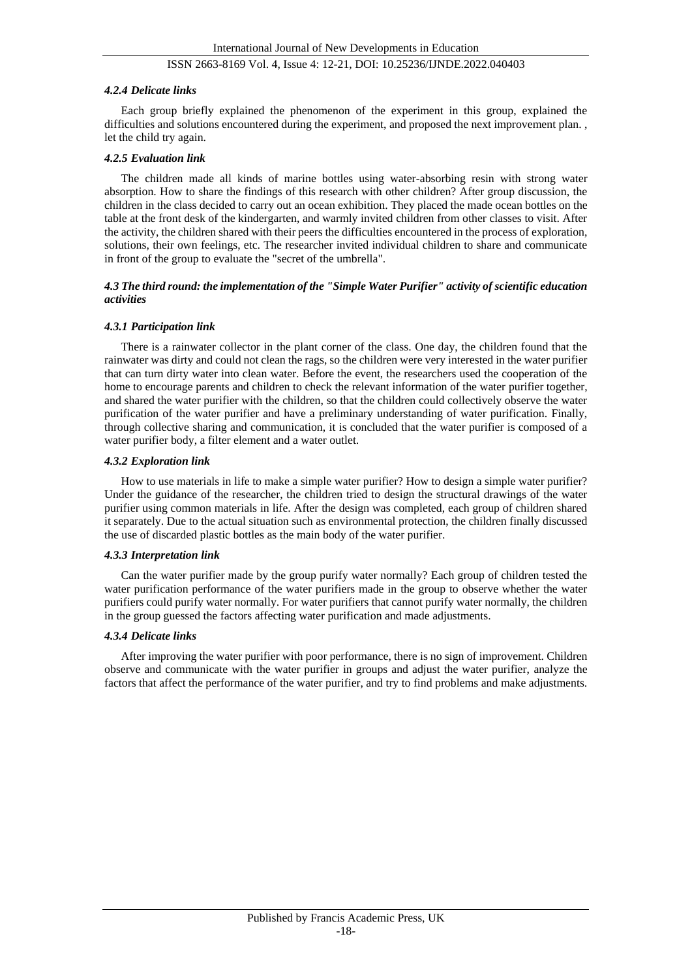#### *4.2.4 Delicate links*

Each group briefly explained the phenomenon of the experiment in this group, explained the difficulties and solutions encountered during the experiment, and proposed the next improvement plan. , let the child try again.

#### *4.2.5 Evaluation link*

The children made all kinds of marine bottles using water-absorbing resin with strong water absorption. How to share the findings of this research with other children? After group discussion, the children in the class decided to carry out an ocean exhibition. They placed the made ocean bottles on the table at the front desk of the kindergarten, and warmly invited children from other classes to visit. After the activity, the children shared with their peers the difficulties encountered in the process of exploration, solutions, their own feelings, etc. The researcher invited individual children to share and communicate in front of the group to evaluate the "secret of the umbrella".

## *4.3 The third round: the implementation of the "Simple Water Purifier" activity of scientific education activities*

#### *4.3.1 Participation link*

There is a rainwater collector in the plant corner of the class. One day, the children found that the rainwater was dirty and could not clean the rags, so the children were very interested in the water purifier that can turn dirty water into clean water. Before the event, the researchers used the cooperation of the home to encourage parents and children to check the relevant information of the water purifier together, and shared the water purifier with the children, so that the children could collectively observe the water purification of the water purifier and have a preliminary understanding of water purification. Finally, through collective sharing and communication, it is concluded that the water purifier is composed of a water purifier body, a filter element and a water outlet.

#### *4.3.2 Exploration link*

How to use materials in life to make a simple water purifier? How to design a simple water purifier? Under the guidance of the researcher, the children tried to design the structural drawings of the water purifier using common materials in life. After the design was completed, each group of children shared it separately. Due to the actual situation such as environmental protection, the children finally discussed the use of discarded plastic bottles as the main body of the water purifier.

## *4.3.3 Interpretation link*

Can the water purifier made by the group purify water normally? Each group of children tested the water purification performance of the water purifiers made in the group to observe whether the water purifiers could purify water normally. For water purifiers that cannot purify water normally, the children in the group guessed the factors affecting water purification and made adjustments.

#### *4.3.4 Delicate links*

After improving the water purifier with poor performance, there is no sign of improvement. Children observe and communicate with the water purifier in groups and adjust the water purifier, analyze the factors that affect the performance of the water purifier, and try to find problems and make adjustments.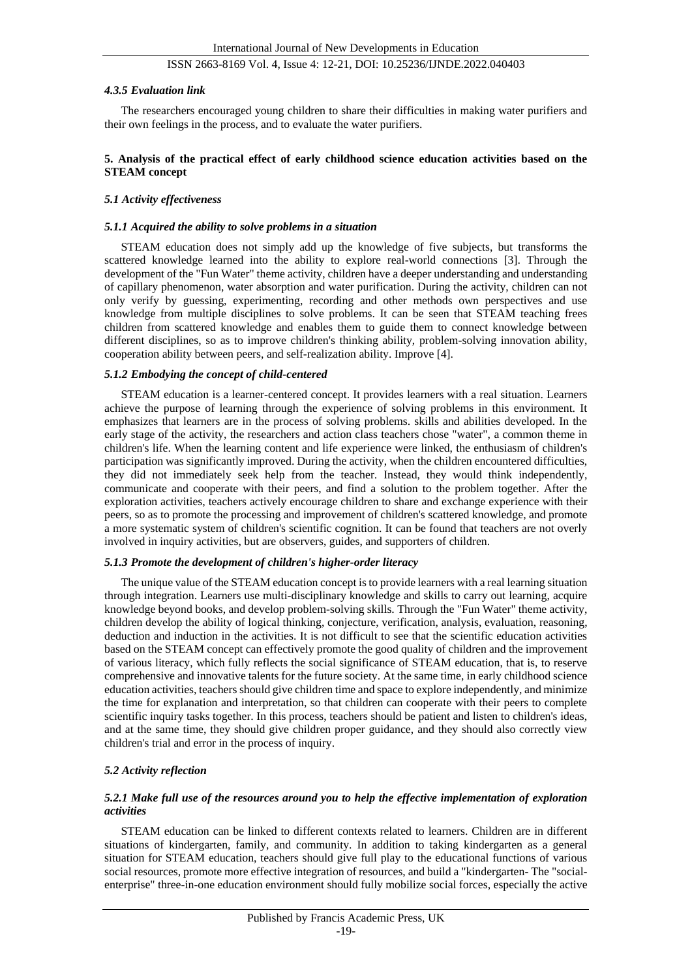#### *4.3.5 Evaluation link*

The researchers encouraged young children to share their difficulties in making water purifiers and their own feelings in the process, and to evaluate the water purifiers.

## **5. Analysis of the practical effect of early childhood science education activities based on the STEAM concept**

## *5.1 Activity effectiveness*

#### *5.1.1 Acquired the ability to solve problems in a situation*

STEAM education does not simply add up the knowledge of five subjects, but transforms the scattered knowledge learned into the ability to explore real-world connections [3]. Through the development of the "Fun Water" theme activity, children have a deeper understanding and understanding of capillary phenomenon, water absorption and water purification. During the activity, children can not only verify by guessing, experimenting, recording and other methods own perspectives and use knowledge from multiple disciplines to solve problems. It can be seen that STEAM teaching frees children from scattered knowledge and enables them to guide them to connect knowledge between different disciplines, so as to improve children's thinking ability, problem-solving innovation ability, cooperation ability between peers, and self-realization ability. Improve [4].

#### *5.1.2 Embodying the concept of child-centered*

STEAM education is a learner-centered concept. It provides learners with a real situation. Learners achieve the purpose of learning through the experience of solving problems in this environment. It emphasizes that learners are in the process of solving problems. skills and abilities developed. In the early stage of the activity, the researchers and action class teachers chose "water", a common theme in children's life. When the learning content and life experience were linked, the enthusiasm of children's participation was significantly improved. During the activity, when the children encountered difficulties, they did not immediately seek help from the teacher. Instead, they would think independently, communicate and cooperate with their peers, and find a solution to the problem together. After the exploration activities, teachers actively encourage children to share and exchange experience with their peers, so as to promote the processing and improvement of children's scattered knowledge, and promote a more systematic system of children's scientific cognition. It can be found that teachers are not overly involved in inquiry activities, but are observers, guides, and supporters of children.

#### *5.1.3 Promote the development of children's higher-order literacy*

The unique value of the STEAM education concept is to provide learners with a real learning situation through integration. Learners use multi-disciplinary knowledge and skills to carry out learning, acquire knowledge beyond books, and develop problem-solving skills. Through the "Fun Water" theme activity, children develop the ability of logical thinking, conjecture, verification, analysis, evaluation, reasoning, deduction and induction in the activities. It is not difficult to see that the scientific education activities based on the STEAM concept can effectively promote the good quality of children and the improvement of various literacy, which fully reflects the social significance of STEAM education, that is, to reserve comprehensive and innovative talents for the future society. At the same time, in early childhood science education activities, teachers should give children time and space to explore independently, and minimize the time for explanation and interpretation, so that children can cooperate with their peers to complete scientific inquiry tasks together. In this process, teachers should be patient and listen to children's ideas, and at the same time, they should give children proper guidance, and they should also correctly view children's trial and error in the process of inquiry.

## *5.2 Activity reflection*

## *5.2.1 Make full use of the resources around you to help the effective implementation of exploration activities*

STEAM education can be linked to different contexts related to learners. Children are in different situations of kindergarten, family, and community. In addition to taking kindergarten as a general situation for STEAM education, teachers should give full play to the educational functions of various social resources, promote more effective integration of resources, and build a "kindergarten- The "socialenterprise" three-in-one education environment should fully mobilize social forces, especially the active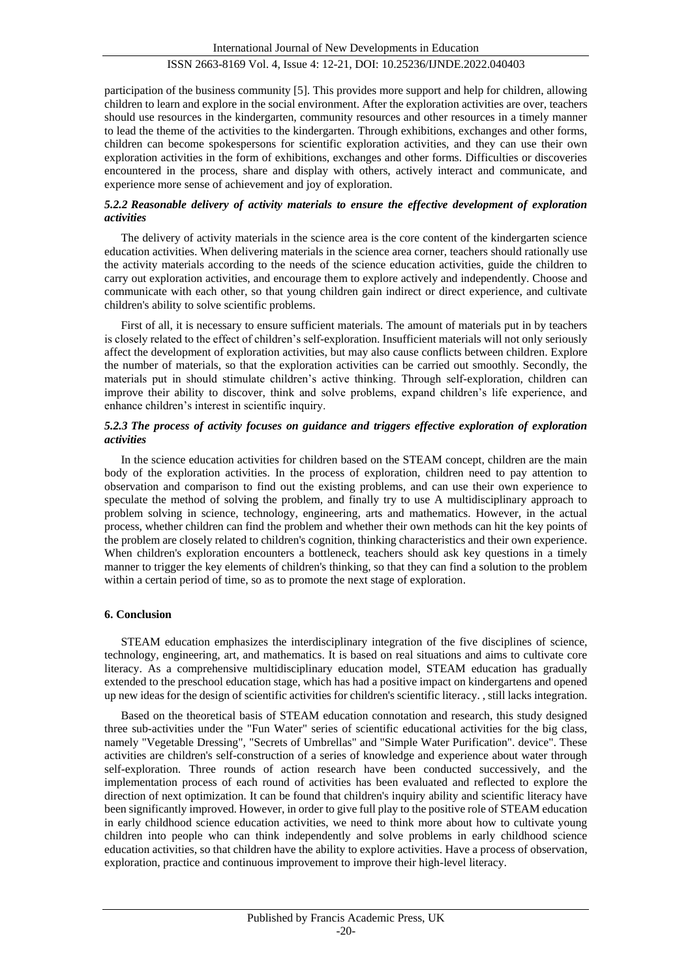participation of the business community [5]. This provides more support and help for children, allowing children to learn and explore in the social environment. After the exploration activities are over, teachers should use resources in the kindergarten, community resources and other resources in a timely manner to lead the theme of the activities to the kindergarten. Through exhibitions, exchanges and other forms, children can become spokespersons for scientific exploration activities, and they can use their own exploration activities in the form of exhibitions, exchanges and other forms. Difficulties or discoveries encountered in the process, share and display with others, actively interact and communicate, and experience more sense of achievement and joy of exploration.

#### *5.2.2 Reasonable delivery of activity materials to ensure the effective development of exploration activities*

The delivery of activity materials in the science area is the core content of the kindergarten science education activities. When delivering materials in the science area corner, teachers should rationally use the activity materials according to the needs of the science education activities, guide the children to carry out exploration activities, and encourage them to explore actively and independently. Choose and communicate with each other, so that young children gain indirect or direct experience, and cultivate children's ability to solve scientific problems.

First of all, it is necessary to ensure sufficient materials. The amount of materials put in by teachers is closely related to the effect of children's self-exploration. Insufficient materials will not only seriously affect the development of exploration activities, but may also cause conflicts between children. Explore the number of materials, so that the exploration activities can be carried out smoothly. Secondly, the materials put in should stimulate children's active thinking. Through self-exploration, children can improve their ability to discover, think and solve problems, expand children's life experience, and enhance children's interest in scientific inquiry.

## *5.2.3 The process of activity focuses on guidance and triggers effective exploration of exploration activities*

In the science education activities for children based on the STEAM concept, children are the main body of the exploration activities. In the process of exploration, children need to pay attention to observation and comparison to find out the existing problems, and can use their own experience to speculate the method of solving the problem, and finally try to use A multidisciplinary approach to problem solving in science, technology, engineering, arts and mathematics. However, in the actual process, whether children can find the problem and whether their own methods can hit the key points of the problem are closely related to children's cognition, thinking characteristics and their own experience. When children's exploration encounters a bottleneck, teachers should ask key questions in a timely manner to trigger the key elements of children's thinking, so that they can find a solution to the problem within a certain period of time, so as to promote the next stage of exploration.

#### **6. Conclusion**

STEAM education emphasizes the interdisciplinary integration of the five disciplines of science, technology, engineering, art, and mathematics. It is based on real situations and aims to cultivate core literacy. As a comprehensive multidisciplinary education model, STEAM education has gradually extended to the preschool education stage, which has had a positive impact on kindergartens and opened up new ideas for the design of scientific activities for children's scientific literacy. , still lacks integration.

Based on the theoretical basis of STEAM education connotation and research, this study designed three sub-activities under the "Fun Water" series of scientific educational activities for the big class, namely "Vegetable Dressing", "Secrets of Umbrellas" and "Simple Water Purification". device". These activities are children's self-construction of a series of knowledge and experience about water through self-exploration. Three rounds of action research have been conducted successively, and the implementation process of each round of activities has been evaluated and reflected to explore the direction of next optimization. It can be found that children's inquiry ability and scientific literacy have been significantly improved. However, in order to give full play to the positive role of STEAM education in early childhood science education activities, we need to think more about how to cultivate young children into people who can think independently and solve problems in early childhood science education activities, so that children have the ability to explore activities. Have a process of observation, exploration, practice and continuous improvement to improve their high-level literacy.